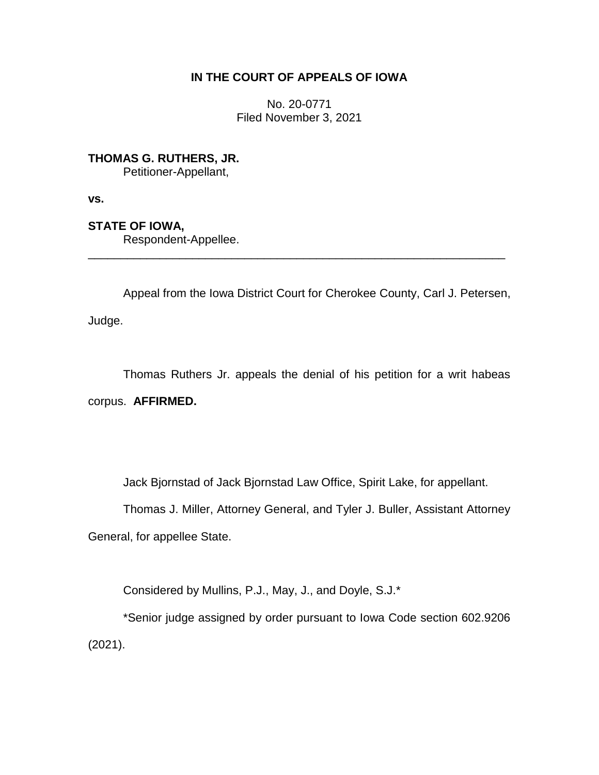# **IN THE COURT OF APPEALS OF IOWA**

No. 20-0771 Filed November 3, 2021

**THOMAS G. RUTHERS, JR.** Petitioner-Appellant,

**vs.**

**STATE OF IOWA,**

Respondent-Appellee.

Appeal from the Iowa District Court for Cherokee County, Carl J. Petersen,

\_\_\_\_\_\_\_\_\_\_\_\_\_\_\_\_\_\_\_\_\_\_\_\_\_\_\_\_\_\_\_\_\_\_\_\_\_\_\_\_\_\_\_\_\_\_\_\_\_\_\_\_\_\_\_\_\_\_\_\_\_\_\_\_

Judge.

Thomas Ruthers Jr. appeals the denial of his petition for a writ habeas corpus. **AFFIRMED.**

Jack Bjornstad of Jack Bjornstad Law Office, Spirit Lake, for appellant.

Thomas J. Miller, Attorney General, and Tyler J. Buller, Assistant Attorney

General, for appellee State.

Considered by Mullins, P.J., May, J., and Doyle, S.J.\*

\*Senior judge assigned by order pursuant to Iowa Code section 602.9206 (2021).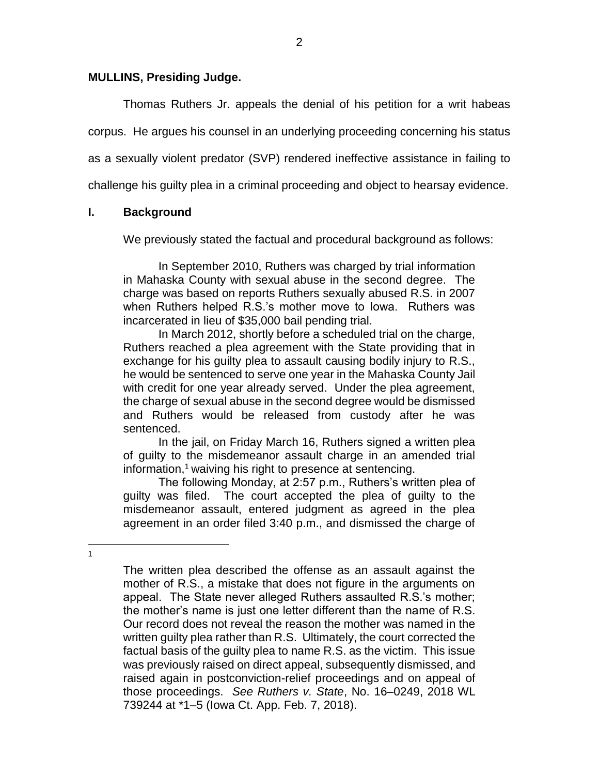#### **MULLINS, Presiding Judge.**

Thomas Ruthers Jr. appeals the denial of his petition for a writ habeas corpus. He argues his counsel in an underlying proceeding concerning his status as a sexually violent predator (SVP) rendered ineffective assistance in failing to challenge his guilty plea in a criminal proceeding and object to hearsay evidence.

### **I. Background**

We previously stated the factual and procedural background as follows:

In September 2010, Ruthers was charged by trial information in Mahaska County with sexual abuse in the second degree. The charge was based on reports Ruthers sexually abused R.S. in 2007 when Ruthers helped R.S.'s mother move to Iowa. Ruthers was incarcerated in lieu of \$35,000 bail pending trial.

In March 2012, shortly before a scheduled trial on the charge, Ruthers reached a plea agreement with the State providing that in exchange for his guilty plea to assault causing bodily injury to R.S., he would be sentenced to serve one year in the Mahaska County Jail with credit for one year already served. Under the plea agreement, the charge of sexual abuse in the second degree would be dismissed and Ruthers would be released from custody after he was sentenced.

In the jail, on Friday March 16, Ruthers signed a written plea of guilty to the misdemeanor assault charge in an amended trial information,<sup>1</sup> waiving his right to presence at sentencing.

The following Monday, at 2:57 p.m., Ruthers's written plea of guilty was filed. The court accepted the plea of guilty to the misdemeanor assault, entered judgment as agreed in the plea agreement in an order filed 3:40 p.m., and dismissed the charge of

 $\overline{a}$ 1

The written plea described the offense as an assault against the mother of R.S., a mistake that does not figure in the arguments on appeal. The State never alleged Ruthers assaulted R.S.'s mother; the mother's name is just one letter different than the name of R.S. Our record does not reveal the reason the mother was named in the written guilty plea rather than R.S. Ultimately, the court corrected the factual basis of the guilty plea to name R.S. as the victim. This issue was previously raised on direct appeal, subsequently dismissed, and raised again in postconviction-relief proceedings and on appeal of those proceedings. *See Ruthers v. State*, No. 16–0249, 2018 WL 739244 at \*1–5 (Iowa Ct. App. Feb. 7, 2018).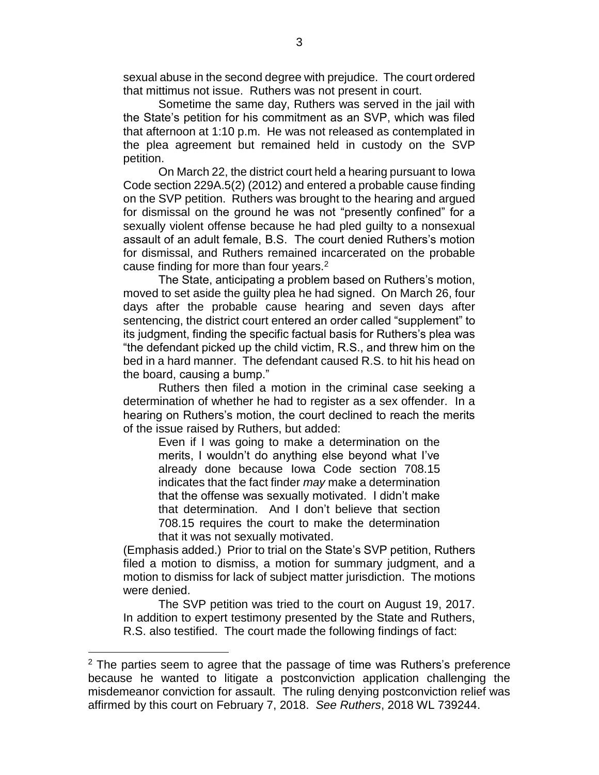sexual abuse in the second degree with prejudice. The court ordered that mittimus not issue. Ruthers was not present in court.

Sometime the same day, Ruthers was served in the jail with the State's petition for his commitment as an SVP, which was filed that afternoon at 1:10 p.m. He was not released as contemplated in the plea agreement but remained held in custody on the SVP petition.

On March 22, the district court held a hearing pursuant to Iowa Code section 229A.5(2) (2012) and entered a probable cause finding on the SVP petition. Ruthers was brought to the hearing and argued for dismissal on the ground he was not "presently confined" for a sexually violent offense because he had pled guilty to a nonsexual assault of an adult female, B.S. The court denied Ruthers's motion for dismissal, and Ruthers remained incarcerated on the probable cause finding for more than four years.<sup>2</sup>

The State, anticipating a problem based on Ruthers's motion, moved to set aside the guilty plea he had signed. On March 26, four days after the probable cause hearing and seven days after sentencing, the district court entered an order called "supplement" to its judgment, finding the specific factual basis for Ruthers's plea was "the defendant picked up the child victim, R.S., and threw him on the bed in a hard manner. The defendant caused R.S. to hit his head on the board, causing a bump."

Ruthers then filed a motion in the criminal case seeking a determination of whether he had to register as a sex offender. In a hearing on Ruthers's motion, the court declined to reach the merits of the issue raised by Ruthers, but added:

Even if I was going to make a determination on the merits, I wouldn't do anything else beyond what I've already done because Iowa Code section 708.15 indicates that the fact finder *may* make a determination that the offense was sexually motivated. I didn't make that determination. And I don't believe that section 708.15 requires the court to make the determination that it was not sexually motivated.

(Emphasis added.) Prior to trial on the State's SVP petition, Ruthers filed a motion to dismiss, a motion for summary judgment, and a motion to dismiss for lack of subject matter jurisdiction. The motions were denied.

The SVP petition was tried to the court on August 19, 2017. In addition to expert testimony presented by the State and Ruthers, R.S. also testified. The court made the following findings of fact:

 $2$  The parties seem to agree that the passage of time was Ruthers's preference because he wanted to litigate a postconviction application challenging the misdemeanor conviction for assault. The ruling denying postconviction relief was affirmed by this court on February 7, 2018. *See Ruthers*, 2018 WL 739244.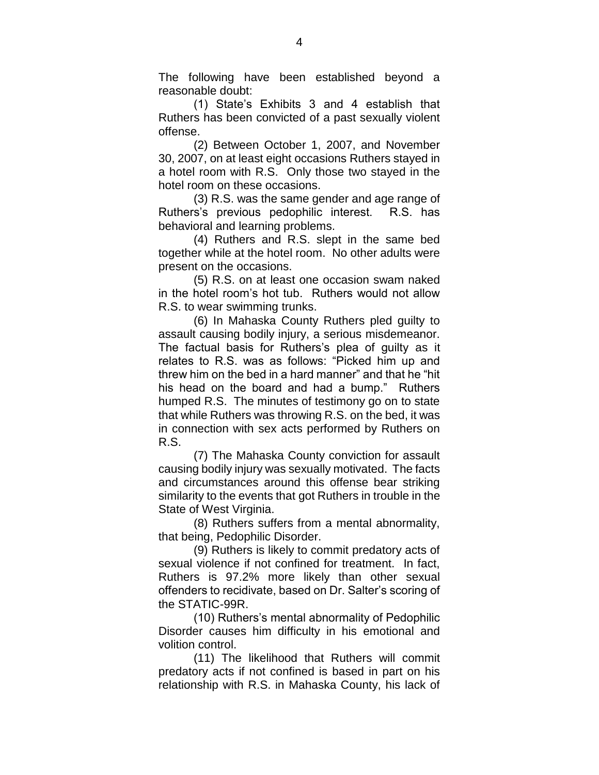The following have been established beyond a reasonable doubt:

(1) State's Exhibits 3 and 4 establish that Ruthers has been convicted of a past sexually violent offense.

(2) Between October 1, 2007, and November 30, 2007, on at least eight occasions Ruthers stayed in a hotel room with R.S. Only those two stayed in the hotel room on these occasions.

(3) R.S. was the same gender and age range of Ruthers's previous pedophilic interest. R.S. has behavioral and learning problems.

(4) Ruthers and R.S. slept in the same bed together while at the hotel room. No other adults were present on the occasions.

(5) R.S. on at least one occasion swam naked in the hotel room's hot tub. Ruthers would not allow R.S. to wear swimming trunks.

(6) In Mahaska County Ruthers pled guilty to assault causing bodily injury, a serious misdemeanor. The factual basis for Ruthers's plea of guilty as it relates to R.S. was as follows: "Picked him up and threw him on the bed in a hard manner" and that he "hit his head on the board and had a bump." Ruthers humped R.S. The minutes of testimony go on to state that while Ruthers was throwing R.S. on the bed, it was in connection with sex acts performed by Ruthers on R.S.

(7) The Mahaska County conviction for assault causing bodily injury was sexually motivated. The facts and circumstances around this offense bear striking similarity to the events that got Ruthers in trouble in the State of West Virginia.

(8) Ruthers suffers from a mental abnormality, that being, Pedophilic Disorder.

(9) Ruthers is likely to commit predatory acts of sexual violence if not confined for treatment. In fact, Ruthers is 97.2% more likely than other sexual offenders to recidivate, based on Dr. Salter's scoring of the STATIC-99R.

(10) Ruthers's mental abnormality of Pedophilic Disorder causes him difficulty in his emotional and volition control.

(11) The likelihood that Ruthers will commit predatory acts if not confined is based in part on his relationship with R.S. in Mahaska County, his lack of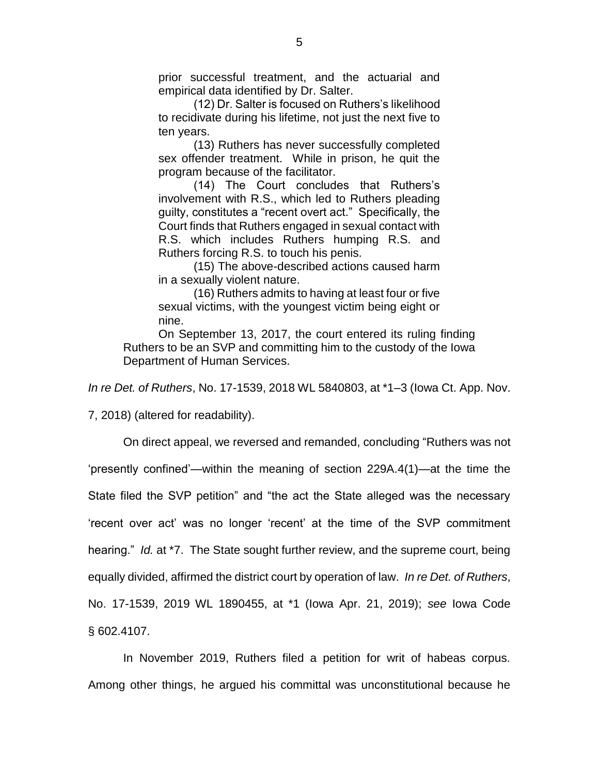prior successful treatment, and the actuarial and empirical data identified by Dr. Salter.

(12) Dr. Salter is focused on Ruthers's likelihood to recidivate during his lifetime, not just the next five to ten years.

(13) Ruthers has never successfully completed sex offender treatment. While in prison, he quit the program because of the facilitator.

(14) The Court concludes that Ruthers's involvement with R.S., which led to Ruthers pleading guilty, constitutes a "recent overt act." Specifically, the Court finds that Ruthers engaged in sexual contact with R.S. which includes Ruthers humping R.S. and Ruthers forcing R.S. to touch his penis.

(15) The above-described actions caused harm in a sexually violent nature.

(16) Ruthers admits to having at least four or five sexual victims, with the youngest victim being eight or nine.

On September 13, 2017, the court entered its ruling finding Ruthers to be an SVP and committing him to the custody of the Iowa Department of Human Services.

*In re Det. of Ruthers*, No. 17-1539, 2018 WL 5840803, at \*1–3 (Iowa Ct. App. Nov.

7, 2018) (altered for readability).

On direct appeal, we reversed and remanded, concluding "Ruthers was not 'presently confined'—within the meaning of section 229A.4(1)—at the time the State filed the SVP petition" and "the act the State alleged was the necessary 'recent over act' was no longer 'recent' at the time of the SVP commitment hearing." *Id.* at \*7. The State sought further review, and the supreme court, being equally divided, affirmed the district court by operation of law. *In re Det. of Ruthers*, No. 17-1539, 2019 WL 1890455, at \*1 (Iowa Apr. 21, 2019); *see* Iowa Code § 602.4107.

In November 2019, Ruthers filed a petition for writ of habeas corpus. Among other things, he argued his committal was unconstitutional because he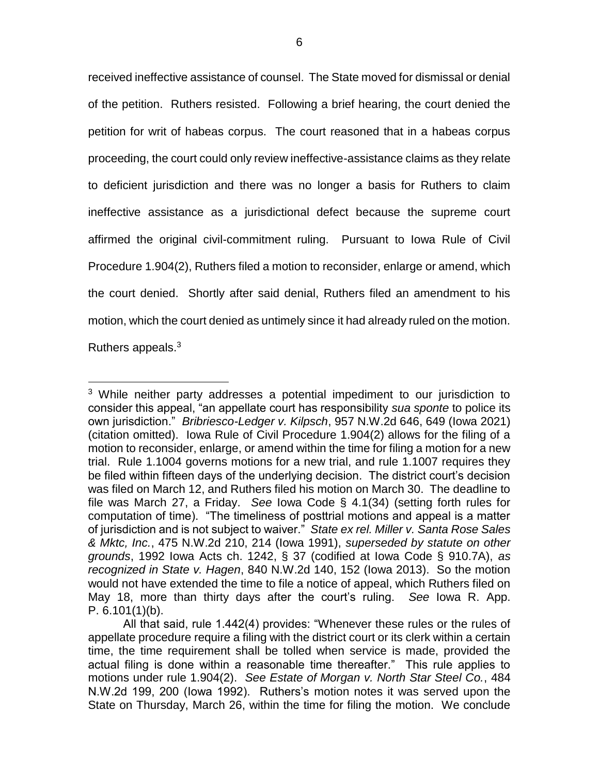received ineffective assistance of counsel. The State moved for dismissal or denial of the petition. Ruthers resisted. Following a brief hearing, the court denied the petition for writ of habeas corpus. The court reasoned that in a habeas corpus proceeding, the court could only review ineffective-assistance claims as they relate to deficient jurisdiction and there was no longer a basis for Ruthers to claim ineffective assistance as a jurisdictional defect because the supreme court affirmed the original civil-commitment ruling. Pursuant to Iowa Rule of Civil Procedure 1.904(2), Ruthers filed a motion to reconsider, enlarge or amend, which the court denied. Shortly after said denial, Ruthers filed an amendment to his motion, which the court denied as untimely since it had already ruled on the motion. Ruthers appeals.<sup>3</sup>

 $3$  While neither party addresses a potential impediment to our jurisdiction to consider this appeal, "an appellate court has responsibility *sua sponte* to police its own jurisdiction." *Bribriesco-Ledger v. Kilpsch*, 957 N.W.2d 646, 649 (Iowa 2021) (citation omitted). Iowa Rule of Civil Procedure 1.904(2) allows for the filing of a motion to reconsider, enlarge, or amend within the time for filing a motion for a new trial. Rule 1.1004 governs motions for a new trial, and rule 1.1007 requires they be filed within fifteen days of the underlying decision. The district court's decision was filed on March 12, and Ruthers filed his motion on March 30. The deadline to file was March 27, a Friday. *See* Iowa Code § 4.1(34) (setting forth rules for computation of time). "The timeliness of posttrial motions and appeal is a matter of jurisdiction and is not subject to waiver." *State ex rel. Miller v. Santa Rose Sales & Mktc, Inc.*, 475 N.W.2d 210, 214 (Iowa 1991), *superseded by statute on other grounds*, 1992 Iowa Acts ch. 1242, § 37 (codified at Iowa Code § 910.7A), *as recognized in State v. Hagen*, 840 N.W.2d 140, 152 (Iowa 2013). So the motion would not have extended the time to file a notice of appeal, which Ruthers filed on May 18, more than thirty days after the court's ruling. *See* Iowa R. App. P. 6.101(1)(b).

All that said, rule 1.442(4) provides: "Whenever these rules or the rules of appellate procedure require a filing with the district court or its clerk within a certain time, the time requirement shall be tolled when service is made, provided the actual filing is done within a reasonable time thereafter." This rule applies to motions under rule 1.904(2). *See Estate of Morgan v. North Star Steel Co.*, 484 N.W.2d 199, 200 (Iowa 1992). Ruthers's motion notes it was served upon the State on Thursday, March 26, within the time for filing the motion. We conclude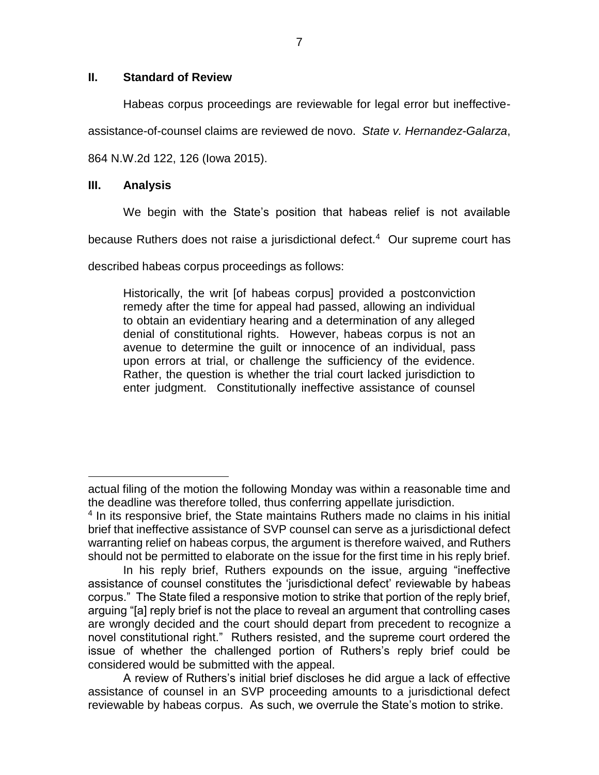## **II. Standard of Review**

Habeas corpus proceedings are reviewable for legal error but ineffective-

assistance-of-counsel claims are reviewed de novo. *State v. Hernandez-Galarza*,

864 N.W.2d 122, 126 (Iowa 2015).

## **III. Analysis**

 $\overline{a}$ 

We begin with the State's position that habeas relief is not available

because Ruthers does not raise a jurisdictional defect.<sup>4</sup> Our supreme court has

described habeas corpus proceedings as follows:

Historically, the writ [of habeas corpus] provided a postconviction remedy after the time for appeal had passed, allowing an individual to obtain an evidentiary hearing and a determination of any alleged denial of constitutional rights. However, habeas corpus is not an avenue to determine the guilt or innocence of an individual, pass upon errors at trial, or challenge the sufficiency of the evidence. Rather, the question is whether the trial court lacked jurisdiction to enter judgment. Constitutionally ineffective assistance of counsel

actual filing of the motion the following Monday was within a reasonable time and the deadline was therefore tolled, thus conferring appellate jurisdiction.

<sup>&</sup>lt;sup>4</sup> In its responsive brief, the State maintains Ruthers made no claims in his initial brief that ineffective assistance of SVP counsel can serve as a jurisdictional defect warranting relief on habeas corpus, the argument is therefore waived, and Ruthers should not be permitted to elaborate on the issue for the first time in his reply brief.

In his reply brief, Ruthers expounds on the issue, arguing "ineffective assistance of counsel constitutes the 'jurisdictional defect' reviewable by habeas corpus." The State filed a responsive motion to strike that portion of the reply brief, arguing "[a] reply brief is not the place to reveal an argument that controlling cases are wrongly decided and the court should depart from precedent to recognize a novel constitutional right." Ruthers resisted, and the supreme court ordered the issue of whether the challenged portion of Ruthers's reply brief could be considered would be submitted with the appeal.

A review of Ruthers's initial brief discloses he did argue a lack of effective assistance of counsel in an SVP proceeding amounts to a jurisdictional defect reviewable by habeas corpus. As such, we overrule the State's motion to strike.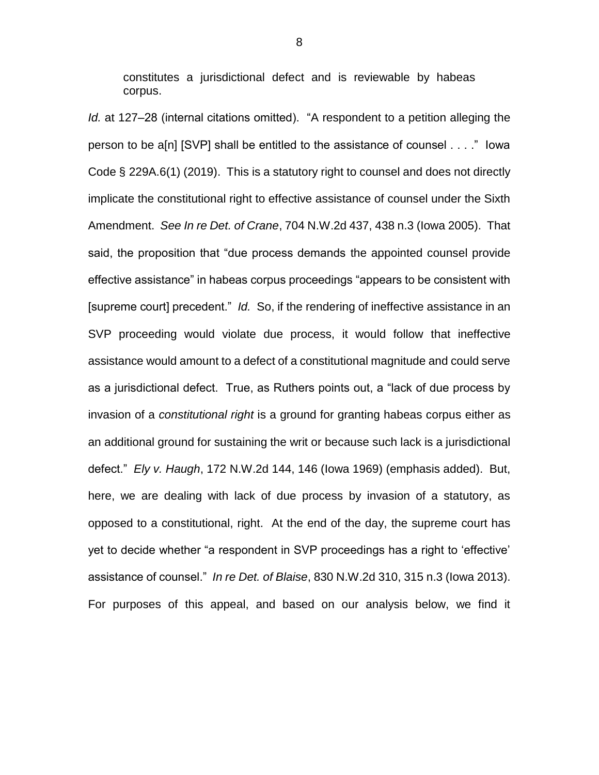constitutes a jurisdictional defect and is reviewable by habeas corpus.

*Id.* at 127–28 (internal citations omitted). "A respondent to a petition alleging the person to be a[n] [SVP] shall be entitled to the assistance of counsel . . . ." Iowa Code § 229A.6(1) (2019). This is a statutory right to counsel and does not directly implicate the constitutional right to effective assistance of counsel under the Sixth Amendment. *See In re Det. of Crane*, 704 N.W.2d 437, 438 n.3 (Iowa 2005). That said, the proposition that "due process demands the appointed counsel provide effective assistance" in habeas corpus proceedings "appears to be consistent with [supreme court] precedent." *Id.* So, if the rendering of ineffective assistance in an SVP proceeding would violate due process, it would follow that ineffective assistance would amount to a defect of a constitutional magnitude and could serve as a jurisdictional defect. True, as Ruthers points out, a "lack of due process by invasion of a *constitutional right* is a ground for granting habeas corpus either as an additional ground for sustaining the writ or because such lack is a jurisdictional defect." *Ely v. Haugh*, 172 N.W.2d 144, 146 (Iowa 1969) (emphasis added). But, here, we are dealing with lack of due process by invasion of a statutory, as opposed to a constitutional, right. At the end of the day, the supreme court has yet to decide whether "a respondent in SVP proceedings has a right to 'effective' assistance of counsel." *In re Det. of Blaise*, 830 N.W.2d 310, 315 n.3 (Iowa 2013). For purposes of this appeal, and based on our analysis below, we find it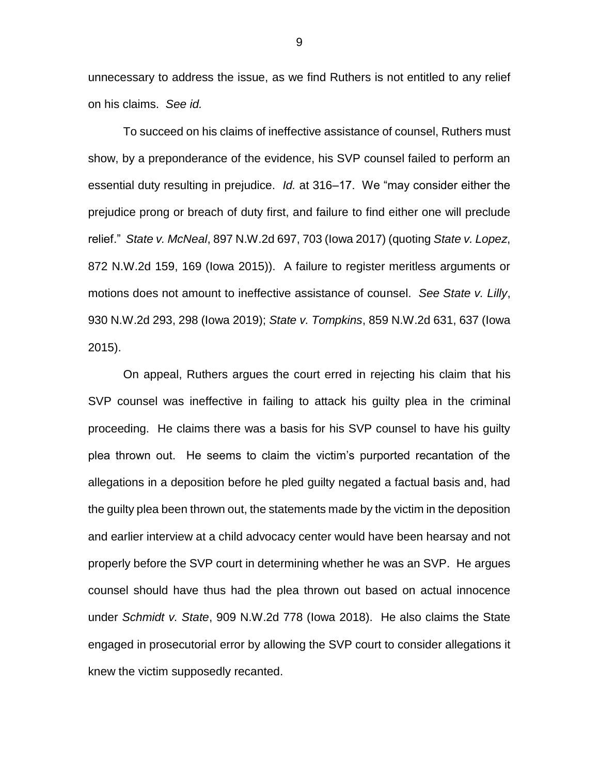unnecessary to address the issue, as we find Ruthers is not entitled to any relief on his claims. *See id.*

To succeed on his claims of ineffective assistance of counsel, Ruthers must show, by a preponderance of the evidence, his SVP counsel failed to perform an essential duty resulting in prejudice. *Id.* at 316–17. We "may consider either the prejudice prong or breach of duty first, and failure to find either one will preclude relief." *State v. McNeal*, 897 N.W.2d 697, 703 (Iowa 2017) (quoting *State v. Lopez*, 872 N.W.2d 159, 169 (Iowa 2015)). A failure to register meritless arguments or motions does not amount to ineffective assistance of counsel. *See State v. Lilly*, 930 N.W.2d 293, 298 (Iowa 2019); *State v. Tompkins*, 859 N.W.2d 631, 637 (Iowa 2015).

On appeal, Ruthers argues the court erred in rejecting his claim that his SVP counsel was ineffective in failing to attack his guilty plea in the criminal proceeding. He claims there was a basis for his SVP counsel to have his guilty plea thrown out. He seems to claim the victim's purported recantation of the allegations in a deposition before he pled guilty negated a factual basis and, had the guilty plea been thrown out, the statements made by the victim in the deposition and earlier interview at a child advocacy center would have been hearsay and not properly before the SVP court in determining whether he was an SVP. He argues counsel should have thus had the plea thrown out based on actual innocence under *Schmidt v. State*, 909 N.W.2d 778 (Iowa 2018). He also claims the State engaged in prosecutorial error by allowing the SVP court to consider allegations it knew the victim supposedly recanted.

9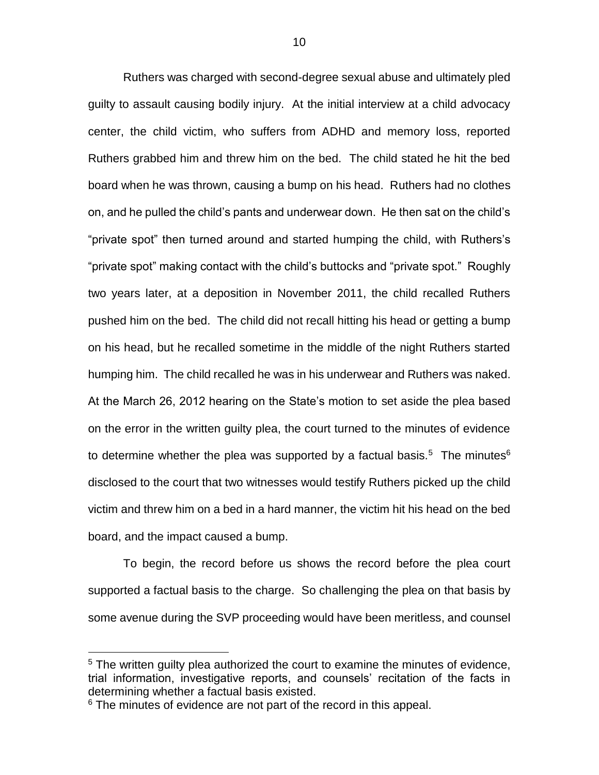Ruthers was charged with second-degree sexual abuse and ultimately pled guilty to assault causing bodily injury. At the initial interview at a child advocacy center, the child victim, who suffers from ADHD and memory loss, reported Ruthers grabbed him and threw him on the bed. The child stated he hit the bed board when he was thrown, causing a bump on his head. Ruthers had no clothes on, and he pulled the child's pants and underwear down. He then sat on the child's "private spot" then turned around and started humping the child, with Ruthers's "private spot" making contact with the child's buttocks and "private spot." Roughly two years later, at a deposition in November 2011, the child recalled Ruthers pushed him on the bed. The child did not recall hitting his head or getting a bump on his head, but he recalled sometime in the middle of the night Ruthers started humping him. The child recalled he was in his underwear and Ruthers was naked. At the March 26, 2012 hearing on the State's motion to set aside the plea based on the error in the written guilty plea, the court turned to the minutes of evidence to determine whether the plea was supported by a factual basis.<sup>5</sup> The minutes<sup>6</sup> disclosed to the court that two witnesses would testify Ruthers picked up the child victim and threw him on a bed in a hard manner, the victim hit his head on the bed board, and the impact caused a bump.

To begin, the record before us shows the record before the plea court supported a factual basis to the charge. So challenging the plea on that basis by some avenue during the SVP proceeding would have been meritless, and counsel

<sup>&</sup>lt;sup>5</sup> The written guilty plea authorized the court to examine the minutes of evidence, trial information, investigative reports, and counsels' recitation of the facts in determining whether a factual basis existed.

 $6$  The minutes of evidence are not part of the record in this appeal.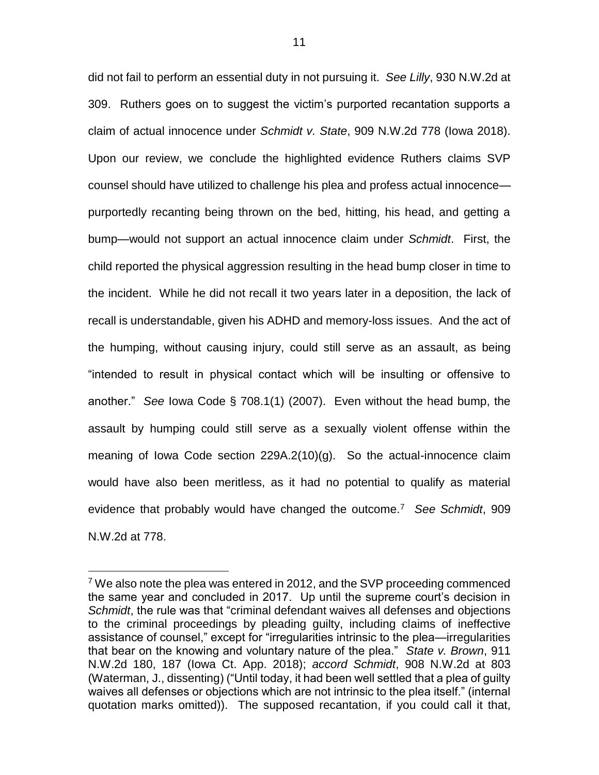did not fail to perform an essential duty in not pursuing it. *See Lilly*, 930 N.W.2d at 309. Ruthers goes on to suggest the victim's purported recantation supports a claim of actual innocence under *Schmidt v. State*, 909 N.W.2d 778 (Iowa 2018). Upon our review, we conclude the highlighted evidence Ruthers claims SVP counsel should have utilized to challenge his plea and profess actual innocence purportedly recanting being thrown on the bed, hitting, his head, and getting a bump—would not support an actual innocence claim under *Schmidt*. First, the child reported the physical aggression resulting in the head bump closer in time to the incident. While he did not recall it two years later in a deposition, the lack of recall is understandable, given his ADHD and memory-loss issues. And the act of the humping, without causing injury, could still serve as an assault, as being "intended to result in physical contact which will be insulting or offensive to another." *See* Iowa Code § 708.1(1) (2007). Even without the head bump, the assault by humping could still serve as a sexually violent offense within the meaning of Iowa Code section 229A.2(10)(g). So the actual-innocence claim would have also been meritless, as it had no potential to qualify as material evidence that probably would have changed the outcome.<sup>7</sup> *See Schmidt*, 909 N.W.2d at 778.

<sup>7</sup> We also note the plea was entered in 2012, and the SVP proceeding commenced the same year and concluded in 2017. Up until the supreme court's decision in *Schmidt*, the rule was that "criminal defendant waives all defenses and objections to the criminal proceedings by pleading guilty, including claims of ineffective assistance of counsel," except for "irregularities intrinsic to the plea—irregularities that bear on the knowing and voluntary nature of the plea." *State v. Brown*, 911 N.W.2d 180, 187 (Iowa Ct. App. 2018); *accord Schmidt*, 908 N.W.2d at 803 (Waterman, J., dissenting) ("Until today, it had been well settled that a plea of guilty waives all defenses or objections which are not intrinsic to the plea itself." (internal quotation marks omitted)). The supposed recantation, if you could call it that,